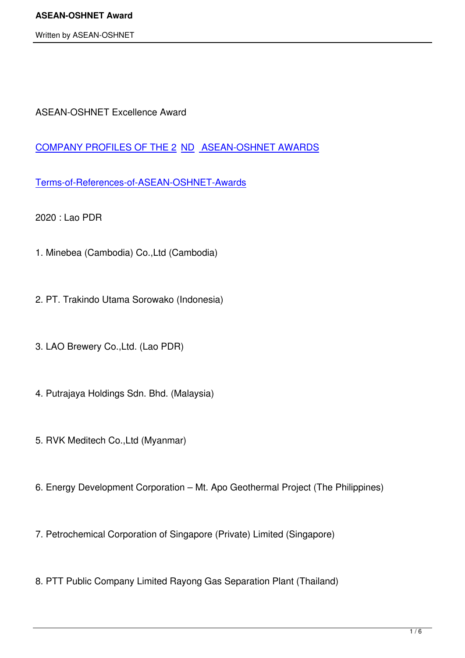ASEAN-OSHNET Excellence Award

COMPANY PROFILES OF THE 2 ND ASEAN-OSHNET AWARDS

[Terms-of-References-of-ASEAN-OSHNET-Awards](images/PDF/2019/company-profiles-of-the-2nd-asean-oshnet-awards.pdf)

[2020 : Lao PDR](images/PDF/2019/terms-of-references-of-asean-oshnet-awards.pdf)

- 1. Minebea (Cambodia) Co.,Ltd (Cambodia)
- 2. PT. Trakindo Utama Sorowako (Indonesia)
- 3. LAO Brewery Co.,Ltd. (Lao PDR)
- 4. Putrajaya Holdings Sdn. Bhd. (Malaysia)
- 5. RVK Meditech Co.,Ltd (Myanmar)
- 6. Energy Development Corporation Mt. Apo Geothermal Project (The Philippines)
- 7. Petrochemical Corporation of Singapore (Private) Limited (Singapore)
- 8. PTT Public Company Limited Rayong Gas Separation Plant (Thailand)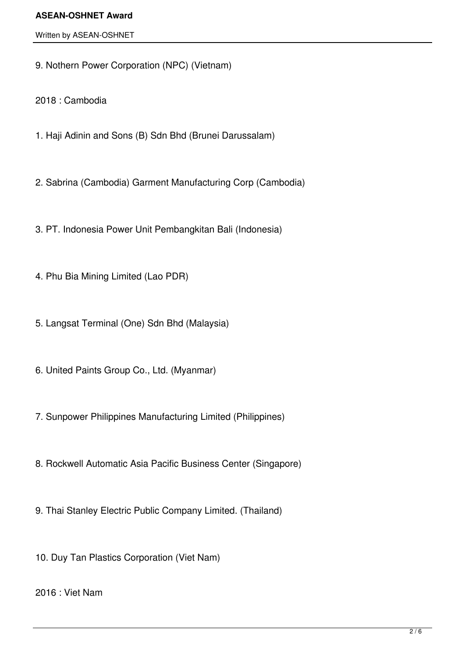#### Written by ASEAN-OSHNET

9. Nothern Power Corporation (NPC) (Vietnam)

2018 : Cambodia

- 1. Haji Adinin and Sons (B) Sdn Bhd (Brunei Darussalam)
- 2. Sabrina (Cambodia) Garment Manufacturing Corp (Cambodia)

3. PT. Indonesia Power Unit Pembangkitan Bali (Indonesia)

- 4. Phu Bia Mining Limited (Lao PDR)
- 5. Langsat Terminal (One) Sdn Bhd (Malaysia)
- 6. United Paints Group Co., Ltd. (Myanmar)
- 7. Sunpower Philippines Manufacturing Limited (Philippines)
- 8. Rockwell Automatic Asia Pacific Business Center (Singapore)
- 9. Thai Stanley Electric Public Company Limited. (Thailand)
- 10. Duy Tan Plastics Corporation (Viet Nam)

2016 : Viet Nam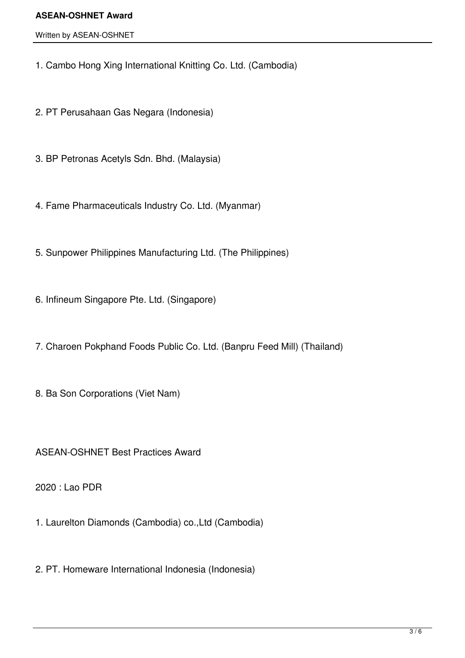Written by ASEAN-OSHNET

1. Cambo Hong Xing International Knitting Co. Ltd. (Cambodia)

2. PT Perusahaan Gas Negara (Indonesia)

3. BP Petronas Acetyls Sdn. Bhd. (Malaysia)

4. Fame Pharmaceuticals Industry Co. Ltd. (Myanmar)

5. Sunpower Philippines Manufacturing Ltd. (The Philippines)

6. Infineum Singapore Pte. Ltd. (Singapore)

7. Charoen Pokphand Foods Public Co. Ltd. (Banpru Feed Mill) (Thailand)

8. Ba Son Corporations (Viet Nam)

ASEAN-OSHNET Best Practices Award

2020 : Lao PDR

1. Laurelton Diamonds (Cambodia) co.,Ltd (Cambodia)

2. PT. Homeware International Indonesia (Indonesia)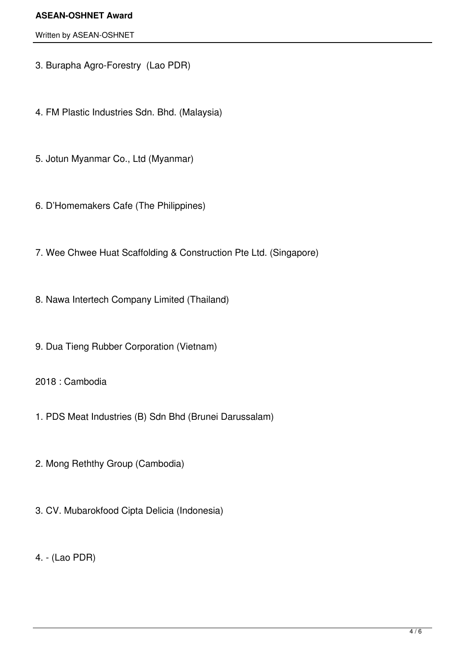#### Written by ASEAN-OSHNET

- 3. Burapha Agro-Forestry (Lao PDR)
- 4. FM Plastic Industries Sdn. Bhd. (Malaysia)
- 5. Jotun Myanmar Co., Ltd (Myanmar)
- 6. D'Homemakers Cafe (The Philippines)
- 7. Wee Chwee Huat Scaffolding & Construction Pte Ltd. (Singapore)
- 8. Nawa Intertech Company Limited (Thailand)
- 9. Dua Tieng Rubber Corporation (Vietnam)
- 2018 : Cambodia
- 1. PDS Meat Industries (B) Sdn Bhd (Brunei Darussalam)
- 2. Mong Reththy Group (Cambodia)
- 3. CV. Mubarokfood Cipta Delicia (Indonesia)
- 4. (Lao PDR)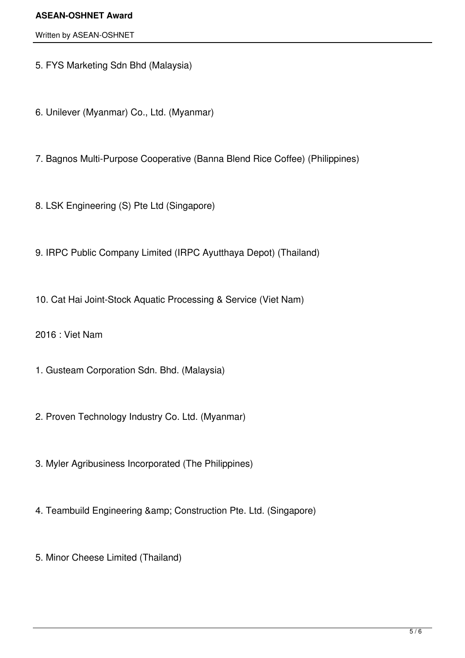Written by ASEAN-OSHNET

5. FYS Marketing Sdn Bhd (Malaysia)

6. Unilever (Myanmar) Co., Ltd. (Myanmar)

7. Bagnos Multi-Purpose Cooperative (Banna Blend Rice Coffee) (Philippines)

8. LSK Engineering (S) Pte Ltd (Singapore)

9. IRPC Public Company Limited (IRPC Ayutthaya Depot) (Thailand)

10. Cat Hai Joint-Stock Aquatic Processing & Service (Viet Nam)

2016 : Viet Nam

1. Gusteam Corporation Sdn. Bhd. (Malaysia)

2. Proven Technology Industry Co. Ltd. (Myanmar)

3. Myler Agribusiness Incorporated (The Philippines)

4. Teambuild Engineering & amp; Construction Pte. Ltd. (Singapore)

5. Minor Cheese Limited (Thailand)